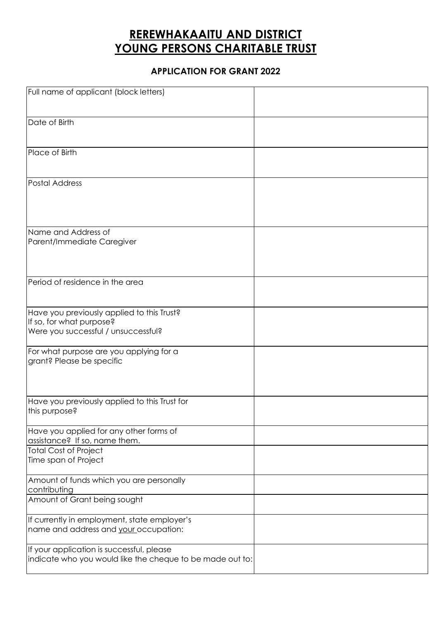## **REREWHAKAAITU AND DISTRICT YOUNG PERSONS CHARITABLE TRUST**

## **APPLICATION FOR GRANT 2022**

| Full name of applicant (block letters)                                                                        |  |
|---------------------------------------------------------------------------------------------------------------|--|
| Date of Birth                                                                                                 |  |
| Place of Birth                                                                                                |  |
| Postal Address                                                                                                |  |
| Name and Address of<br>Parent/Immediate Caregiver                                                             |  |
| Period of residence in the area                                                                               |  |
| Have you previously applied to this Trust?<br>If so, for what purpose?<br>Were you successful / unsuccessful? |  |
| For what purpose are you applying for a<br>grant? Please be specific                                          |  |
| Have you previously applied to this Trust for<br>this purpose?                                                |  |
| Have you applied for any other forms of<br>assistance? If so, name them.<br><b>Total Cost of Project</b>      |  |
| Time span of Project                                                                                          |  |
| Amount of funds which you are personally<br>contributing                                                      |  |
| Amount of Grant being sought                                                                                  |  |
| If currently in employment, state employer's<br>name and address and your occupation:                         |  |
| If your application is successful, please<br>indicate who you would like the cheque to be made out to:        |  |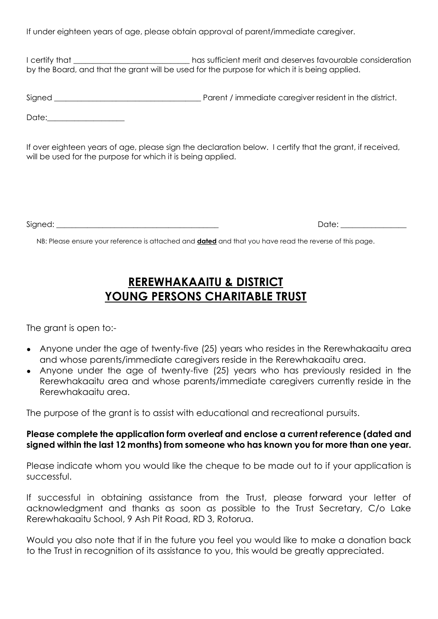If under eighteen years of age, please obtain approval of parent/immediate caregiver.

I certify that **I certify that EXEC 2018** That sufficient merit and deserves favourable consideration by the Board, and that the grant will be used for the purpose for which it is being applied.

Signed \_\_\_\_\_\_\_\_\_\_\_\_\_\_\_\_\_\_\_\_\_\_\_\_\_\_\_\_\_\_\_\_\_\_\_\_\_\_ Parent / immediate caregiver resident in the district.

Date:

If over eighteen years of age, please sign the declaration below. I certify that the grant, if received, will be used for the purpose for which it is being applied.

Signed: \_\_\_\_\_\_\_\_\_\_\_\_\_\_\_\_\_\_\_\_\_\_\_\_\_\_\_\_\_\_\_\_\_\_\_\_\_\_\_\_\_\_ Date: \_\_\_\_\_\_\_\_\_\_\_\_\_\_\_\_\_

NB: Please ensure your reference is attached and **dated** and that you have read the reverse of this page.

## **REREWHAKAAITU & DISTRICT YOUNG PERSONS CHARITABLE TRUST**

The grant is open to:-

- Anyone under the age of twenty-five (25) years who resides in the Rerewhakaaitu area and whose parents/immediate caregivers reside in the Rerewhakaaitu area.
- Anyone under the age of twenty-five (25) years who has previously resided in the Rerewhakaaitu area and whose parents/immediate caregivers currently reside in the Rerewhakaaitu area.

The purpose of the grant is to assist with educational and recreational pursuits.

## **Please complete the application form overleaf and enclose a current reference (dated and signed within the last 12 months) from someone who has known you for more than one year.**

Please indicate whom you would like the cheque to be made out to if your application is successful.

If successful in obtaining assistance from the Trust, please forward your letter of acknowledgment and thanks as soon as possible to the Trust Secretary, C/o Lake Rerewhakaaitu School, 9 Ash Pit Road, RD 3, Rotorua.

Would you also note that if in the future you feel you would like to make a donation back to the Trust in recognition of its assistance to you, this would be greatly appreciated.